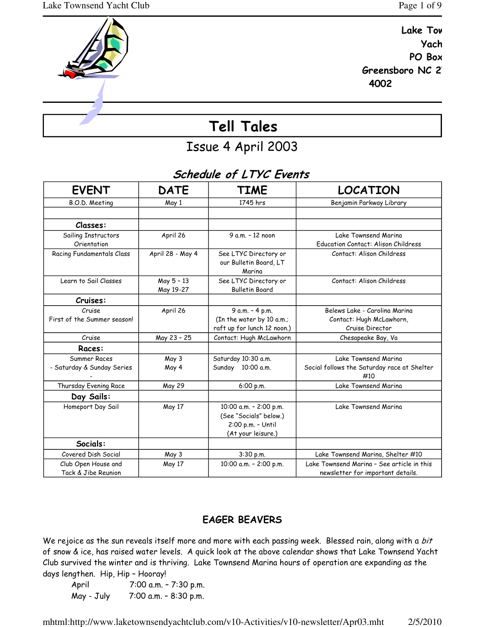Greensboro NC 2

4002

Yach



Issue 4 April 2003

## Schedule of LTYC Events

| <b>EVENT</b>                               | <b>DATE</b>             | <b>TIME</b>                                                                                 | LOCATION                                                                        |
|--------------------------------------------|-------------------------|---------------------------------------------------------------------------------------------|---------------------------------------------------------------------------------|
| B.O.D. Meeting                             | May 1                   | 1745 hrs                                                                                    | Benjamin Parkway Library                                                        |
|                                            |                         |                                                                                             |                                                                                 |
| Classes:                                   |                         |                                                                                             |                                                                                 |
| Sailing Instructors<br>Orientation         | April 26                | 9 a.m. - 12 noon                                                                            | Lake Townsend Marina<br>Education Contact: Alison Childress                     |
| Racing Fundamentals Class                  | April 28 - May 4        | See LTYC Directory or<br>our Bulletin Board, LT<br>Marina                                   | Contact: Alison Childress                                                       |
| Learn to Sail Classes                      | May 5 - 13<br>May 19-27 | See LTYC Directory or<br><b>Bulletin Board</b>                                              | Contact: Alison Childress                                                       |
| Cruises:                                   |                         |                                                                                             |                                                                                 |
| Cruise<br>First of the Summer season!      | April 26                | 9 a.m. - 4 p.m.<br>(In the water by 10 a.m.;<br>raft up for lunch 12 noon.)                 | Belews Lake - Carolina Marina<br>Contact: Hugh McLawhorn,<br>Cruise Director    |
| Cruise                                     | May 23 - 25             | Contact: Hugh McLawhorn                                                                     | Chesapeake Bay, Va                                                              |
| Races:                                     |                         |                                                                                             |                                                                                 |
| Summer Races<br>- Saturday & Sunday Series | May 3<br>May 4          | Saturday 10:30 a.m.<br>Sunday 10:00 a.m.                                                    | Lake Townsend Marina<br>Social follows the Saturday race at Shelter<br>#10      |
| Thursday Evening Race                      | May 29                  | 6:00 p.m.                                                                                   | Lake Townsend Marina                                                            |
| Day Sails:                                 |                         |                                                                                             |                                                                                 |
| Homeport Day Sail                          | May 17                  | 10:00 a.m. - 2:00 p.m.<br>(See "Socials" below.)<br>2:00 p.m. - Until<br>(At your leisure.) | Lake Townsend Marina                                                            |
| Socials:                                   |                         |                                                                                             |                                                                                 |
| Covered Dish Social                        | May 3                   | 3:30 p.m.                                                                                   | Lake Townsend Marina, Shelter #10                                               |
| Club Open House and<br>Tack & Jibe Reunion | May 17                  | 10:00 a.m. - 2:00 p.m.                                                                      | Lake Townsend Marina - See article in this<br>newsletter for important details. |

## EAGER BEAVERS

We rejoice as the sun reveals itself more and more with each passing week. Blessed rain, along with a bit of snow & ice, has raised water levels. A quick look at the above calendar shows that Lake Townsend Yacht Club survived the winter and is thriving. Lake Townsend Marina hours of operation are expanding as the days lengthen. Hip, Hip – Hooray!

April 7:00 a.m. - 7:30 p.m. May - July 7:00 a.m. – 8:30 p.m.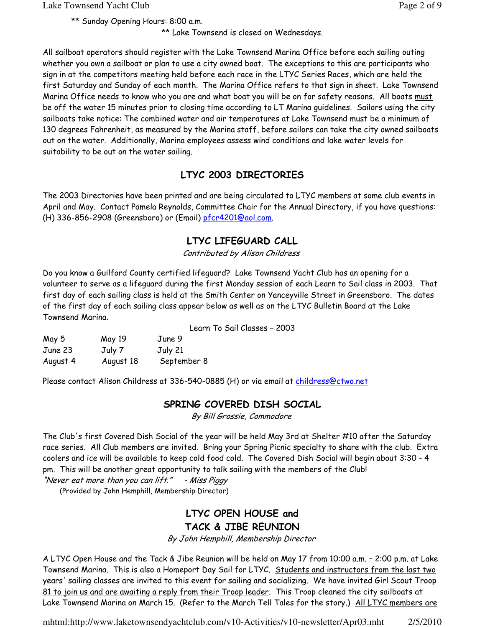\*\* Sunday Opening Hours: 8:00 a.m.

\*\* Lake Townsend is closed on Wednesdays.

All sailboat operators should register with the Lake Townsend Marina Office before each sailing outing whether you own a sailboat or plan to use a city owned boat. The exceptions to this are participants who sign in at the competitors meeting held before each race in the LTYC Series Races, which are held the first Saturday and Sunday of each month. The Marina Office refers to that sign in sheet. Lake Townsend Marina Office needs to know who you are and what boat you will be on for safety reasons. All boats must be off the water 15 minutes prior to closing time according to LT Marina guidelines. Sailors using the city sailboats take notice: The combined water and air temperatures at Lake Townsend must be a minimum of 130 degrees Fahrenheit, as measured by the Marina staff, before sailors can take the city owned sailboats out on the water. Additionally, Marina employees assess wind conditions and lake water levels for suitability to be out on the water sailing.

## LTYC 2003 DIRECTORIES

The 2003 Directories have been printed and are being circulated to LTYC members at some club events in April and May. Contact Pamela Reynolds, Committee Chair for the Annual Directory, if you have questions: (H) 336-856-2908 (Greensboro) or (Email) pfcr4201@aol.com.

## LTYC LIFEGUARD CALL

Contributed by Alison Childress

Do you know a Guilford County certified lifeguard? Lake Townsend Yacht Club has an opening for a volunteer to serve as a lifeguard during the first Monday session of each Learn to Sail class in 2003. That first day of each sailing class is held at the Smith Center on Yanceyville Street in Greensboro. The dates of the first day of each sailing class appear below as well as on the LTYC Bulletin Board at the Lake Townsend Marina.

|  |  |  | Learn To Sail Classes - 2003 |  |  |
|--|--|--|------------------------------|--|--|
|--|--|--|------------------------------|--|--|

| May 5    | May 19    | June 9      |
|----------|-----------|-------------|
| June 23  | July 7    | July 21     |
| August 4 | August 18 | September 8 |

Please contact Alison Childress at 336-540-0885 (H) or via email at childress@ctwo.net

### SPRING COVERED DISH SOCIAL

By Bill Grossie, Commodore

The Club's first Covered Dish Social of the year will be held May 3rd at Shelter #10 after the Saturday race series. All Club members are invited. Bring your Spring Picnic specialty to share with the club. Extra coolers and ice will be available to keep cold food cold. The Covered Dish Social will begin about 3:30 - 4 pm. This will be another great opportunity to talk sailing with the members of the Club!

"Never eat more than you can  $lift."$  - Miss Piggy

(Provided by John Hemphill, Membership Director)

## LTYC OPEN HOUSE and TACK & JIBE REUNION

By John Hemphill, Membership Director

A LTYC Open House and the Tack & Jibe Reunion will be held on May 17 from 10:00 a.m. – 2:00 p.m. at Lake Townsend Marina. This is also a Homeport Day Sail for LTYC. Students and instructors from the last two years' sailing classes are invited to this event for sailing and socializing. We have invited Girl Scout Troop 81 to join us and are awaiting a reply from their Troop leader. This Troop cleaned the city sailboats at Lake Townsend Marina on March 15. (Refer to the March Tell Tales for the story.) All LTYC members are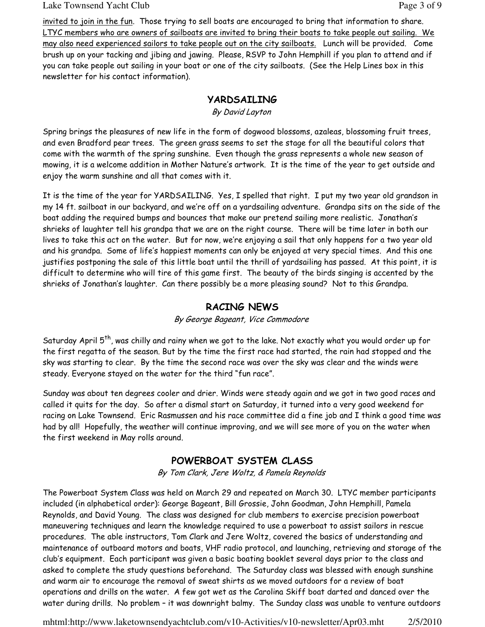#### Lake Townsend Yacht Club Page 3 of 9

invited to join in the fun. Those trying to sell boats are encouraged to bring that information to share. LTYC members who are owners of sailboats are invited to bring their boats to take people out sailing. We may also need experienced sailors to take people out on the city sailboats. Lunch will be provided. Come brush up on your tacking and jibing and jawing. Please, RSVP to John Hemphill if you plan to attend and if you can take people out sailing in your boat or one of the city sailboats. (See the Help Lines box in this newsletter for his contact information).

### YARDSAILING

By David Layton

Spring brings the pleasures of new life in the form of dogwood blossoms, azaleas, blossoming fruit trees, and even Bradford pear trees. The green grass seems to set the stage for all the beautiful colors that come with the warmth of the spring sunshine. Even though the grass represents a whole new season of mowing, it is a welcome addition in Mother Nature's artwork. It is the time of the year to get outside and enjoy the warm sunshine and all that comes with it.

It is the time of the year for YARDSAILING. Yes, I spelled that right. I put my two year old grandson in my 14 ft. sailboat in our backyard, and we're off on a yardsailing adventure. Grandpa sits on the side of the boat adding the required bumps and bounces that make our pretend sailing more realistic. Jonathan's shrieks of laughter tell his grandpa that we are on the right course. There will be time later in both our lives to take this act on the water. But for now, we're enjoying a sail that only happens for a two year old and his grandpa. Some of life's happiest moments can only be enjoyed at very special times. And this one justifies postponing the sale of this little boat until the thrill of yardsailing has passed. At this point, it is difficult to determine who will tire of this game first. The beauty of the birds singing is accented by the shrieks of Jonathan's laughter. Can there possibly be a more pleasing sound? Not to this Grandpa.

## RACING NEWS

By George Bageant, Vice Commodore

Saturday April 5<sup>th</sup>, was chilly and rainy when we got to the lake. Not exactly what you would order up for the first regatta of the season. But by the time the first race had started, the rain had stopped and the sky was starting to clear. By the time the second race was over the sky was clear and the winds were steady. Everyone stayed on the water for the third "fun race".

Sunday was about ten degrees cooler and drier. Winds were steady again and we got in two good races and called it quits for the day. So after a dismal start on Saturday, it turned into a very good weekend for racing on Lake Townsend. Eric Rasmussen and his race committee did a fine job and I think a good time was had by all! Hopefully, the weather will continue improving, and we will see more of you on the water when the first weekend in May rolls around.

## POWERBOAT SYSTEM CLASS

By Tom Clark, Jere Woltz, & Pamela Reynolds

The Powerboat System Class was held on March 29 and repeated on March 30. LTYC member participants included (in alphabetical order): George Bageant, Bill Grossie, John Goodman, John Hemphill, Pamela Reynolds, and David Young. The class was designed for club members to exercise precision powerboat maneuvering techniques and learn the knowledge required to use a powerboat to assist sailors in rescue procedures. The able instructors, Tom Clark and Jere Woltz, covered the basics of understanding and maintenance of outboard motors and boats, VHF radio protocol, and launching, retrieving and storage of the club's equipment. Each participant was given a basic boating booklet several days prior to the class and asked to complete the study questions beforehand. The Saturday class was blessed with enough sunshine and warm air to encourage the removal of sweat shirts as we moved outdoors for a review of boat operations and drills on the water. A few got wet as the Carolina Skiff boat darted and danced over the water during drills. No problem – it was downright balmy. The Sunday class was unable to venture outdoors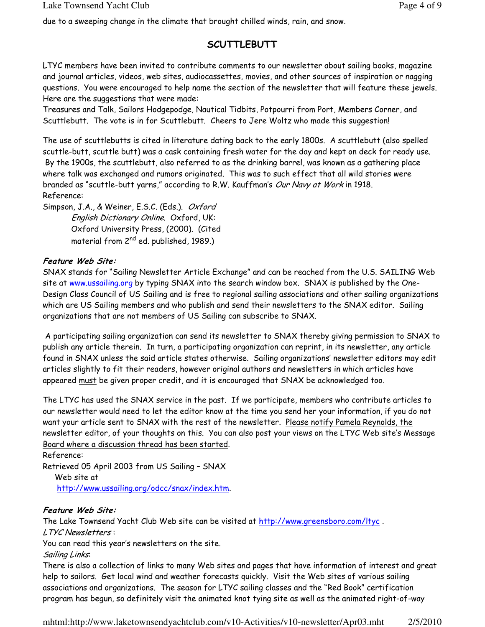due to a sweeping change in the climate that brought chilled winds, rain, and snow.

## **SCUTTLEBUTT**

LTYC members have been invited to contribute comments to our newsletter about sailing books, magazine and journal articles, videos, web sites, audiocassettes, movies, and other sources of inspiration or nagging questions. You were encouraged to help name the section of the newsletter that will feature these jewels. Here are the suggestions that were made:

Treasures and Talk, Sailors Hodgepodge, Nautical Tidbits, Potpourri from Port, Members Corner, and Scuttlebutt. The vote is in for Scuttlebutt. Cheers to Jere Woltz who made this suggestion!

The use of scuttlebutts is cited in literature dating back to the early 1800s. A scuttlebutt (also spelled scuttle-butt, scuttle butt) was a cask containing fresh water for the day and kept on deck for ready use. By the 1900s, the scuttlebutt, also referred to as the drinking barrel, was known as a gathering place where talk was exchanged and rumors originated. This was to such effect that all wild stories were branded as "scuttle-butt yarns," according to R.W. Kauffman's Our Navy at Work in 1918. Reference:

Simpson, J.A., & Weiner, E.S.C. (Eds.). *Oxford* English Dictionary Online. Oxford, UK: Oxford University Press, (2000). (Cited material from 2<sup>nd</sup> ed. published, 1989.)

#### Feature Web Site:

SNAX stands for "Sailing Newsletter Article Exchange" and can be reached from the U.S. SAILING Web site at www.ussailing.org by typing SNAX into the search window box. SNAX is published by the One-Design Class Council of US Sailing and is free to regional sailing associations and other sailing organizations which are US Sailing members and who publish and send their newsletters to the SNAX editor. Sailing organizations that are not members of US Sailing can subscribe to SNAX.

A participating sailing organization can send its newsletter to SNAX thereby giving permission to SNAX to publish any article therein. In turn, a participating organization can reprint, in its newsletter, any article found in SNAX unless the said article states otherwise. Sailing organizations' newsletter editors may edit articles slightly to fit their readers, however original authors and newsletters in which articles have appeared must be given proper credit, and it is encouraged that SNAX be acknowledged too.

The LTYC has used the SNAX service in the past. If we participate, members who contribute articles to our newsletter would need to let the editor know at the time you send her your information, if you do not want your article sent to SNAX with the rest of the newsletter. Please notify Pamela Reynolds, the newsletter editor, of your thoughts on this. You can also post your views on the LTYC Web site's Message Board where a discussion thread has been started.

Reference: Retrieved 05 April 2003 from US Sailing – SNAX Web site at http://www.ussailing.org/odcc/snax/index.htm.

#### Feature Web Site:

The Lake Townsend Yacht Club Web site can be visited at http://www.greensboro.com/ltyc. LTYC Newsletters :

You can read this year's newsletters on the site.

Sailing Links:

There is also a collection of links to many Web sites and pages that have information of interest and great help to sailors. Get local wind and weather forecasts quickly. Visit the Web sites of various sailing associations and organizations. The season for LTYC sailing classes and the "Red Book" certification program has begun, so definitely visit the animated knot tying site as well as the animated right-of-way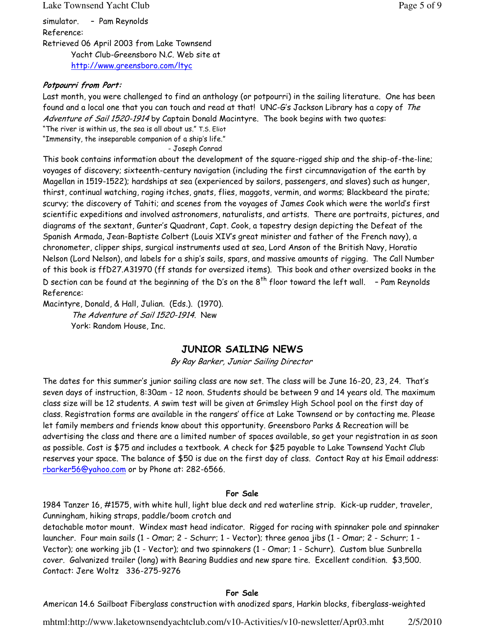#### Lake Townsend Yacht Club **Page 5 of 9** and  $P_{\text{max}}$  and  $P_{\text{max}}$  and  $P_{\text{max}}$  and  $P_{\text{max}}$  and  $P_{\text{max}}$  and  $P_{\text{max}}$  and  $P_{\text{max}}$  and  $P_{\text{max}}$  and  $P_{\text{max}}$  and  $P_{\text{max}}$  and  $P_{\text{max}}$  and  $P_{\text{max}}$  and  $P_{\text{max}}$  a

simulator. – Pam Reynolds Reference: Retrieved 06 April 2003 from Lake Townsend Yacht Club-Greensboro N.C. Web site at http://www.greensboro.com/ltyc

#### Potpourri from Port:

Last month, you were challenged to find an anthology (or potpourri) in the sailing literature. One has been found and a local one that you can touch and read at that! UNC-G's Jackson Library has a copy of The Adventure of Sail 1520-1914 by Captain Donald Macintyre. The book begins with two quotes: "The river is within us, the sea is all about us." T.S. Eliot

"Immensity, the inseparable companion of a ship's life."

- Joseph Conrad

This book contains information about the development of the square-rigged ship and the ship-of-the-line; voyages of discovery; sixteenth-century navigation (including the first circumnavigation of the earth by Magellan in 1519-1522); hardships at sea (experienced by sailors, passengers, and slaves) such as hunger, thirst, continual watching, raging itches, gnats, flies, maggots, vermin, and worms; Blackbeard the pirate; scurvy; the discovery of Tahiti; and scenes from the voyages of James Cook which were the world's first scientific expeditions and involved astronomers, naturalists, and artists. There are portraits, pictures, and diagrams of the sextant, Gunter's Quadrant, Capt. Cook, a tapestry design depicting the Defeat of the Spanish Armada, Jean-Baptiste Colbert (Louis XIV's great minister and father of the French navy), a chronometer, clipper ships, surgical instruments used at sea, Lord Anson of the British Navy, Horatio Nelson (Lord Nelson), and labels for a ship's sails, spars, and massive amounts of rigging. The Call Number of this book is ffD27.A31970 (ff stands for oversized items). This book and other oversized books in the D section can be found at the beginning of the D's on the  $8<sup>th</sup>$  floor toward the left wall.  $\sim$  Pam Reynolds Reference:

Macintyre, Donald, & Hall, Julian. (Eds.). (1970).

The Adventure of Sail 1520-1914. New York: Random House, Inc.

### JUNIOR SAILING NEWS

By Ray Barker, Junior Sailing Director

The dates for this summer's junior sailing class are now set. The class will be June 16-20, 23, 24. That's seven days of instruction, 8:30am - 12 noon. Students should be between 9 and 14 years old. The maximum class size will be 12 students. A swim test will be given at Grimsley High School pool on the first day of class. Registration forms are available in the rangers' office at Lake Townsend or by contacting me. Please let family members and friends know about this opportunity. Greensboro Parks & Recreation will be advertising the class and there are a limited number of spaces available, so get your registration in as soon as possible. Cost is \$75 and includes a textbook. A check for \$25 payable to Lake Townsend Yacht Club reserves your space. The balance of \$50 is due on the first day of class. Contact Ray at his Email address: rbarker56@yahoo.com or by Phone at: 282-6566.

#### For Sale

1984 Tanzer 16, #1575, with white hull, light blue deck and red waterline strip. Kick-up rudder, traveler, Cunningham, hiking straps, paddle/boom crotch and

detachable motor mount. Windex mast head indicator. Rigged for racing with spinnaker pole and spinnaker launcher. Four main sails (1 - Omar; 2 - Schurr; 1 - Vector); three genoa jibs (1 - Omar; 2 - Schurr; 1 - Vector); one working jib (1 - Vector); and two spinnakers (1 - Omar; 1 - Schurr). Custom blue Sunbrella cover. Galvanized trailer (long) with Bearing Buddies and new spare tire. Excellent condition. \$3,500. Contact: Jere Woltz 336-275-9276

#### For Sale

American 14.6 Sailboat Fiberglass construction with anodized spars, Harkin blocks, fiberglass-weighted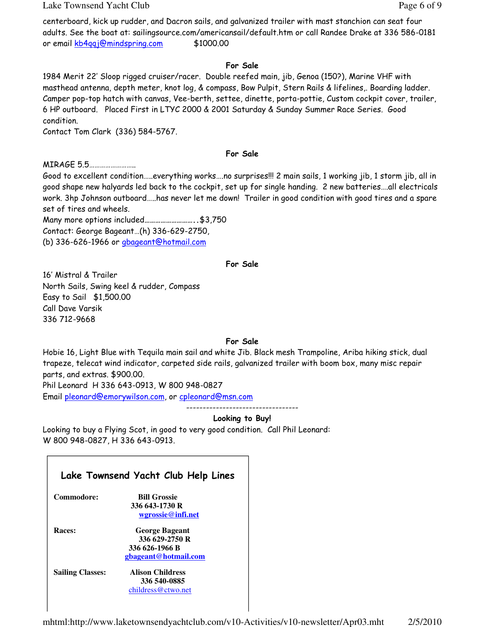Lake Townsend Yacht Club **Page 6 of 9** and  $P$  and  $P$  and  $P$  and  $P$  and  $P$  and  $P$  and  $P$  and  $P$  and  $P$  and  $P$  and  $P$  and  $P$  and  $P$  and  $P$  and  $P$  and  $P$  and  $P$  and  $P$  and  $P$  and  $P$  and  $P$  and  $P$  and  $P$ 

centerboard, kick up rudder, and Dacron sails, and galvanized trailer with mast stanchion can seat four adults. See the boat at: sailingsource.com/americansail/default.htm or call Randee Drake at 336 586-0181 or email kb4qqj@mindspring.com \$1000.00

#### For Sale

1984 Merit 22' Sloop rigged cruiser/racer. Double reefed main, jib, Genoa (150?), Marine VHF with masthead antenna, depth meter, knot log, & compass, Bow Pulpit, Stern Rails & lifelines,. Boarding ladder. Camper pop-top hatch with canvas, Vee-berth, settee, dinette, porta-pottie, Custom cockpit cover, trailer, 6 HP outboard. Placed First in LTYC 2000 & 2001 Saturday & Sunday Summer Race Series. Good condition.

Contact Tom Clark (336) 584-5767.

#### For Sale

MIRAGE 5.5……………………..

Good to excellent condition…..everything works….no surprises!!! 2 main sails, 1 working jib, 1 storm jib, all in good shape new halyards led back to the cockpit, set up for single handing. 2 new batteries….all electricals work. 3hp Johnson outboard…..has never let me down! Trailer in good condition with good tires and a spare set of tires and wheels.

Many more options included………………………..\$3,750 Contact: George Bageant…(h) 336-629-2750, (b) 336-626-1966 or gbageant@hotmail.com

#### For Sale

16' Mistral & Trailer North Sails, Swing keel & rudder, Compass Easy to Sail \$1,500.00 Call Dave Varsik 336 712-9668

#### For Sale

Hobie 16, Light Blue with Tequila main sail and white Jib. Black mesh Trampoline, Ariba hiking stick, dual trapeze, telecat wind indicator, carpeted side rails, galvanized trailer with boom box, many misc repair parts, and extras. \$900.00.

Phil Leonard H 336 643-0913, W 800 948-0827 Email pleonard@emorywilson.com, or cpleonard@msn.com

#### ---------------------------------- Looking to Buy!

Looking to buy a Flying Scot, in good to very good condition. Call Phil Leonard: W 800 948-0827, H 336 643-0913.

|                         | Lake Townsend Yacht Club Help Lines |
|-------------------------|-------------------------------------|
| Commodore:              | <b>Bill Grossie</b>                 |
|                         | 336 643-1730 R                      |
|                         | wgrossie@infi.net                   |
| Races:                  | <b>George Bageant</b>               |
|                         | 336 629-2750 R                      |
|                         | 336 626-1966 B                      |
|                         | gbageant@hotmail.com                |
| <b>Sailing Classes:</b> | <b>Alison Childress</b>             |
|                         | 336 540-0885                        |
|                         | childress@ctwo.net                  |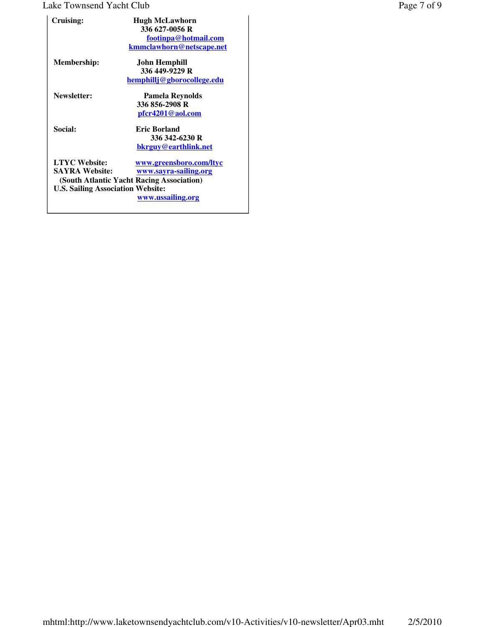## Lake Townsend Yacht Club Page 7 of 9

| Cruising:                                                                                 | <b>Hugh McLawhorn</b><br>336 627-0056 R<br>footinpa@hotmail.com<br>kmmclawhorn@netscape.net                        |
|-------------------------------------------------------------------------------------------|--------------------------------------------------------------------------------------------------------------------|
| <b>Membership:</b>                                                                        | John Hemphill<br>336 449-9229 R<br>hemphillj@gborocollege.edu                                                      |
| Newsletter:                                                                               | <b>Pamela Reynolds</b><br>336 856-2908 R<br><u>pfcr4201@aol.com</u>                                                |
| Social:                                                                                   | <b>Eric Borland</b><br>336 342-6230 R<br>bkrguy@earthlink.net                                                      |
| <b>LTYC</b> Website:<br><b>SAYRA Website:</b><br><b>U.S. Sailing Association Website:</b> | www.greensboro.com/ltyc<br>www.sayra-sailing.org<br>(South Atlantic Yacht Racing Association)<br>www.ussailing.org |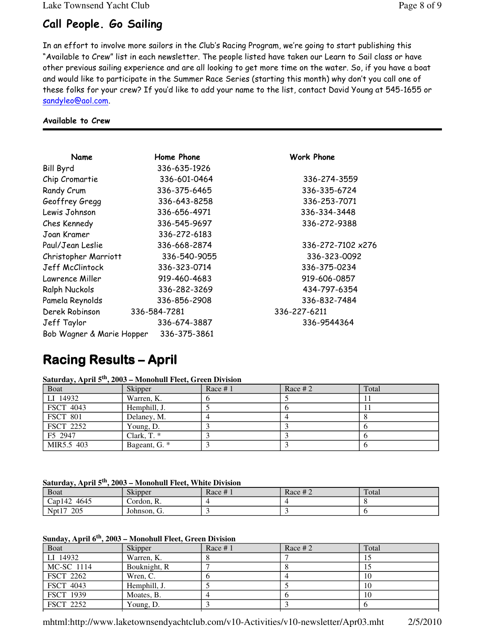## Call People. Go Sailing

In an effort to involve more sailors in the Club's Racing Program, we're going to start publishing this "Available to Crew" list in each newsletter. The people listed have taken our Learn to Sail class or have other previous sailing experience and are all looking to get more time on the water. So, if you have a boat and would like to participate in the Summer Race Series (starting this month) why don't you call one of these folks for your crew? If you'd like to add your name to the list, contact David Young at 545-1655 or sandyleo@aol.com.

Work Phone

Derek Robinson 336-584-7281 336-227-6211

Chip Cromartie 336-601-0464 336-274-3559 Randy Crum 336-375-6465 336-335-6724 Geoffrey Gregg 336-643-8258 336-253-7071 Lewis Johnson 336-656-4971 336-334-3448 Ches Kennedy 336-545-9697 336-272-9388

336-272-7102 x276 Christopher Marriott 336-540-9055 336-323-0092 Jeff McClintock 336-323-0714 336-375-0234 919-606-0857 434-797-6354 Pamela Reynolds 336-856-2908 336-832-7484

Jeff Taylor 336-674-3887 336-9544364

#### Available to Crew

| Name                      | Home Phone   |
|---------------------------|--------------|
| Bill Byrd                 | 336-635-1926 |
| Chip Cromartie            | 336-601-0464 |
| Randy Crum                | 336-375-6465 |
| Geoffrey Gregg            | 336-643-8258 |
| Lewis Johnson             | 336-656-4971 |
| Ches Kennedy              | 336-545-9697 |
| Joan Kramer               | 336-272-6183 |
| Paul/Jean Leslie          | 336-668-2874 |
| Christopher Marriott      | 336-540-9055 |
| Jeff McClintock           | 336-323-0714 |
| Lawrence Miller           | 919-460-4683 |
| <b>Ralph Nuckols</b>      | 336-282-3269 |
| Pamela Reynolds           | 336-856-2908 |
| Derek Robinson            | 336-584-7281 |
| Jeff Taylor               | 336-674-3887 |
| Bob Wagner & Marie Hopper | 336-375-3861 |

## Racing Results – Racing Results –April

| Saturday, April 5 <sup>th</sup> , 2003 – Monohull Fleet, Green Division |
|-------------------------------------------------------------------------|
|-------------------------------------------------------------------------|

| <b>Boat</b>      | Skipper       | Race $#1$ | Race # $2$ | Total |
|------------------|---------------|-----------|------------|-------|
| LI 14932         | Warren, K.    |           |            |       |
| <b>FSCT 4043</b> | Hemphill, J.  |           |            |       |
| <b>FSCT 801</b>  | Delaney, M.   |           |            |       |
| FSCT 2252        | Young, D.     |           |            |       |
| F5 2947          | Clark, $T^*$  |           |            |       |
| MIR5.5 403       | Bageant, G. * |           |            |       |

**Saturday, April 5th, 2003 – Monohull Fleet, White Division**

| Boat           | Skipper     | Race $# 1$ | Race # $2^{\degree}$ | Total |
|----------------|-------------|------------|----------------------|-------|
| 4645<br>Cap142 | Cordon, R.  |            |                      |       |
| 205<br>Npt17   | Johnson, G. |            |                      |       |

#### **Sunday, April 6th, 2003 – Monohull Fleet, Green Division**

| <b>Boat</b>      | Skipper      | Race #1 | Race # $2$ | Total |
|------------------|--------------|---------|------------|-------|
| LI 14932         | Warren, K.   |         |            |       |
| MC-SC 1114       | Bouknight, R |         |            |       |
| <b>FSCT 2262</b> | Wren, C.     |         |            | 10    |
| <b>FSCT 4043</b> | Hemphill, J. |         |            | 10    |
| <b>FSCT 1939</b> | Moates, B.   |         |            | 10    |
| <b>FSCT 2252</b> | Young, D.    |         |            |       |